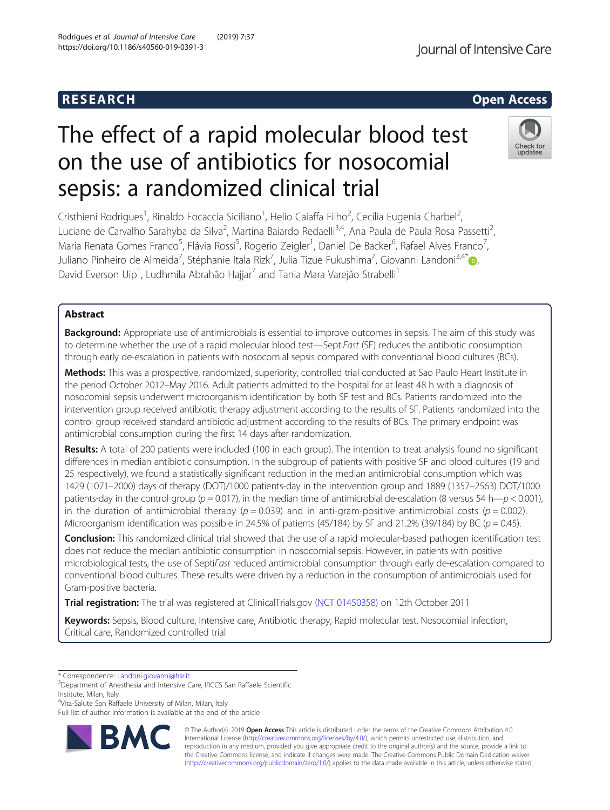## R E S EAR CH Open Access

# The effect of a rapid molecular blood test on the use of antibiotics for nosocomial sepsis: a randomized clinical trial

Cristhieni Rodrigues<sup>1</sup>, Rinaldo Focaccia Siciliano<sup>1</sup>, Helio Caiaffa Filho<sup>2</sup>, Cecília Eugenia Charbel<sup>2</sup> , Luciane de Carvalho Sarahyba da Silva<sup>2</sup>, Martina Baiardo Redaelli<sup>3,4</sup>, Ana Paula de Paula Rosa Passetti<sup>2</sup> , Maria Renata Gomes Franco<sup>5</sup>, Flávia Rossi<sup>5</sup>, Rogerio Zeigler<sup>1</sup>, Daniel De Backer<sup>6</sup>, Rafael Alves Franco<sup>7</sup> , Juliano Pinheiro de Almeida<sup>7</sup>, Stéphanie Itala Rizk<sup>7</sup>, Julia Tizue Fukushima<sup>7</sup>, Giovanni Landoni<sup>3,4[\\*](http://orcid.org/0000-0002-8594-5980)</sup>. David Everson Uip<sup>1</sup>, Ludhmila Abrahão Hajjar<sup>7</sup> and Tania Mara Varejão Strabelli<sup>1</sup>

## Abstract

Background: Appropriate use of antimicrobials is essential to improve outcomes in sepsis. The aim of this study was to determine whether the use of a rapid molecular blood test—SeptiFast (SF) reduces the antibiotic consumption through early de-escalation in patients with nosocomial sepsis compared with conventional blood cultures (BCs).

Methods: This was a prospective, randomized, superiority, controlled trial conducted at Sao Paulo Heart Institute in the period October 2012–May 2016. Adult patients admitted to the hospital for at least 48 h with a diagnosis of nosocomial sepsis underwent microorganism identification by both SF test and BCs. Patients randomized into the intervention group received antibiotic therapy adjustment according to the results of SF. Patients randomized into the control group received standard antibiotic adjustment according to the results of BCs. The primary endpoint was antimicrobial consumption during the first 14 days after randomization.

Results: A total of 200 patients were included (100 in each group). The intention to treat analysis found no significant differences in median antibiotic consumption. In the subgroup of patients with positive SF and blood cultures (19 and 25 respectively), we found a statistically significant reduction in the median antimicrobial consumption which was 1429 (1071–2000) days of therapy (DOT)/1000 patients-day in the intervention group and 1889 (1357–2563) DOT/1000 patients-day in the control group ( $p = 0.017$ ), in the median time of antimicrobial de-escalation (8 versus 54 h— $p < 0.001$ ), in the duration of antimicrobial therapy ( $p = 0.039$ ) and in anti-gram-positive antimicrobial costs ( $p = 0.002$ ). Microorganism identification was possible in 24.5% of patients (45/184) by SF and 21.2% (39/184) by BC ( $p = 0.45$ ).

Conclusion: This randomized clinical trial showed that the use of a rapid molecular-based pathogen identification test does not reduce the median antibiotic consumption in nosocomial sepsis. However, in patients with positive microbiological tests, the use of SeptiFast reduced antimicrobial consumption through early de-escalation compared to conventional blood cultures. These results were driven by a reduction in the consumption of antimicrobials used for Gram-positive bacteria.

Trial registration: The trial was registered at ClinicalTrials.gov [\(NCT 01450358\)](https://clinicaltrials.gov/ct2/show/NCT01450358?term=NCT+01450358&rank=1) on 12th October 2011

Keywords: Sepsis, Blood culture, Intensive care, Antibiotic therapy, Rapid molecular test, Nosocomial infection, Critical care, Randomized controlled trial

4 Vita-Salute San Raffaele University of Milan, Milan, Italy

© The Author(s). 2019 **Open Access** This article is distributed under the terms of the Creative Commons Attribution 4.0 International License [\(http://creativecommons.org/licenses/by/4.0/](http://creativecommons.org/licenses/by/4.0/)), which permits unrestricted use, distribution, and reproduction in any medium, provided you give appropriate credit to the original author(s) and the source, provide a link to the Creative Commons license, and indicate if changes were made. The Creative Commons Public Domain Dedication waiver [\(http://creativecommons.org/publicdomain/zero/1.0/](http://creativecommons.org/publicdomain/zero/1.0/)) applies to the data made available in this article, unless otherwise stated.





<sup>\*</sup> Correspondence: [Landoni.giovanni@hsr.it](mailto:Landoni.giovanni@hsr.it) <sup>3</sup>

<sup>&</sup>lt;sup>3</sup>Department of Anesthesia and Intensive Care, IRCCS San Raffaele Scientific Institute, Milan, Italy

Full list of author information is available at the end of the article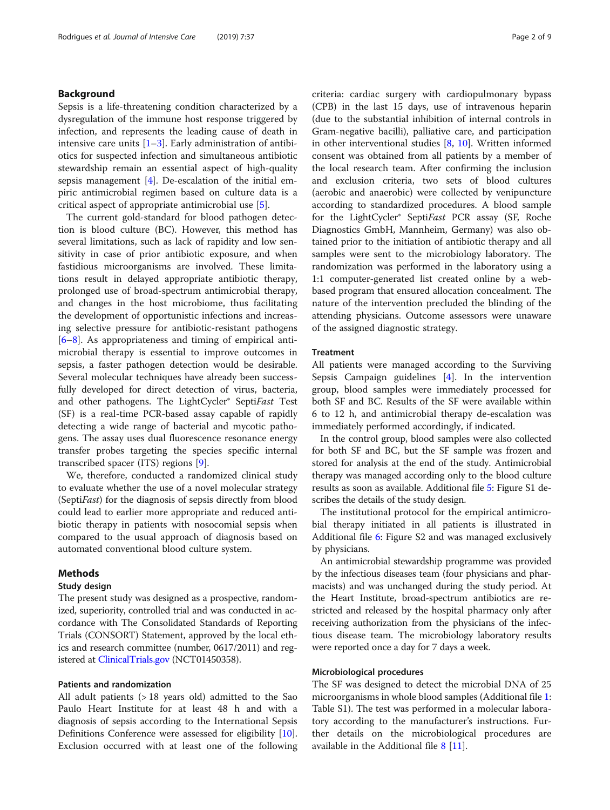## Background

Sepsis is a life-threatening condition characterized by a dysregulation of the immune host response triggered by infection, and represents the leading cause of death in intensive care units  $[1-3]$  $[1-3]$  $[1-3]$  $[1-3]$ . Early administration of antibiotics for suspected infection and simultaneous antibiotic stewardship remain an essential aspect of high-quality sepsis management [\[4](#page-7-0)]. De-escalation of the initial empiric antimicrobial regimen based on culture data is a critical aspect of appropriate antimicrobial use [\[5](#page-7-0)].

The current gold-standard for blood pathogen detection is blood culture (BC). However, this method has several limitations, such as lack of rapidity and low sensitivity in case of prior antibiotic exposure, and when fastidious microorganisms are involved. These limitations result in delayed appropriate antibiotic therapy, prolonged use of broad-spectrum antimicrobial therapy, and changes in the host microbiome, thus facilitating the development of opportunistic infections and increasing selective pressure for antibiotic-resistant pathogens [[6](#page-7-0)–[8\]](#page-7-0). As appropriateness and timing of empirical antimicrobial therapy is essential to improve outcomes in sepsis, a faster pathogen detection would be desirable. Several molecular techniques have already been successfully developed for direct detection of virus, bacteria, and other pathogens. The LightCycler® SeptiFast Test (SF) is a real-time PCR-based assay capable of rapidly detecting a wide range of bacterial and mycotic pathogens. The assay uses dual fluorescence resonance energy transfer probes targeting the species specific internal transcribed spacer (ITS) regions [\[9](#page-7-0)].

We, therefore, conducted a randomized clinical study to evaluate whether the use of a novel molecular strategy (SeptiFast) for the diagnosis of sepsis directly from blood could lead to earlier more appropriate and reduced antibiotic therapy in patients with nosocomial sepsis when compared to the usual approach of diagnosis based on automated conventional blood culture system.

## Methods

## Study design

The present study was designed as a prospective, randomized, superiority, controlled trial and was conducted in accordance with The Consolidated Standards of Reporting Trials (CONSORT) Statement, approved by the local ethics and research committee (number, 0617/2011) and registered at [ClinicalTrials.gov](http://clinicaltrials.gov) (NCT01450358).

## Patients and randomization

All adult patients (> 18 years old) admitted to the Sao Paulo Heart Institute for at least 48 h and with a diagnosis of sepsis according to the International Sepsis Definitions Conference were assessed for eligibility [\[10](#page-7-0)]. Exclusion occurred with at least one of the following criteria: cardiac surgery with cardiopulmonary bypass (CPB) in the last 15 days, use of intravenous heparin (due to the substantial inhibition of internal controls in Gram-negative bacilli), palliative care, and participation in other interventional studies [\[8](#page-7-0), [10\]](#page-7-0). Written informed consent was obtained from all patients by a member of the local research team. After confirming the inclusion and exclusion criteria, two sets of blood cultures (aerobic and anaerobic) were collected by venipuncture according to standardized procedures. A blood sample for the LightCycler® SeptiFast PCR assay (SF, Roche Diagnostics GmbH, Mannheim, Germany) was also obtained prior to the initiation of antibiotic therapy and all samples were sent to the microbiology laboratory. The randomization was performed in the laboratory using a 1:1 computer-generated list created online by a webbased program that ensured allocation concealment. The nature of the intervention precluded the blinding of the attending physicians. Outcome assessors were unaware of the assigned diagnostic strategy.

## Treatment

All patients were managed according to the Surviving Sepsis Campaign guidelines [[4\]](#page-7-0). In the intervention group, blood samples were immediately processed for both SF and BC. Results of the SF were available within 6 to 12 h, and antimicrobial therapy de-escalation was immediately performed accordingly, if indicated.

In the control group, blood samples were also collected for both SF and BC, but the SF sample was frozen and stored for analysis at the end of the study. Antimicrobial therapy was managed according only to the blood culture results as soon as available. Additional file [5](#page-7-0): Figure S1 describes the details of the study design.

The institutional protocol for the empirical antimicrobial therapy initiated in all patients is illustrated in Additional file [6](#page-7-0): Figure S2 and was managed exclusively by physicians.

An antimicrobial stewardship programme was provided by the infectious diseases team (four physicians and pharmacists) and was unchanged during the study period. At the Heart Institute, broad-spectrum antibiotics are restricted and released by the hospital pharmacy only after receiving authorization from the physicians of the infectious disease team. The microbiology laboratory results were reported once a day for 7 days a week.

## Microbiological procedures

The SF was designed to detect the microbial DNA of 25 microorganisms in whole blood samples (Additional file [1](#page-7-0): Table S1). The test was performed in a molecular laboratory according to the manufacturer's instructions. Further details on the microbiological procedures are available in the Additional file [8](#page-7-0) [[11](#page-7-0)].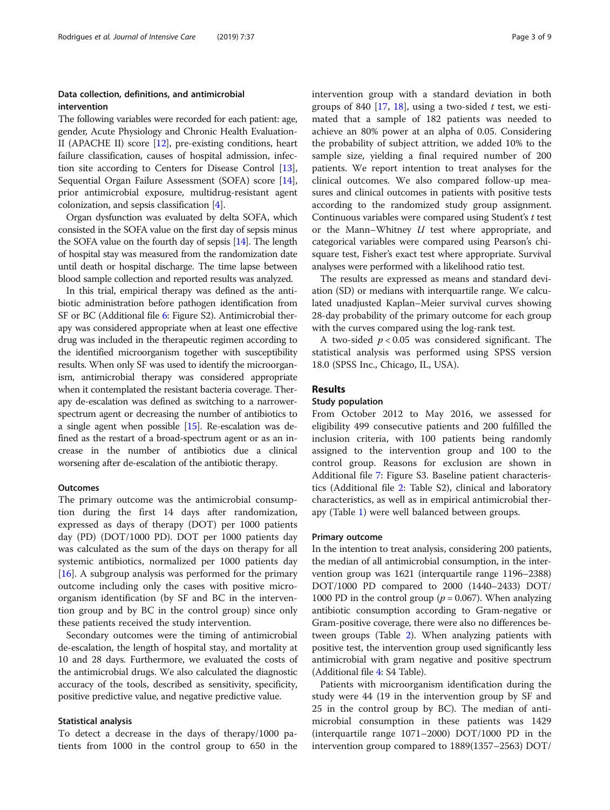## Data collection, definitions, and antimicrobial intervention

The following variables were recorded for each patient: age, gender, Acute Physiology and Chronic Health Evaluation-II (APACHE II) score [[12](#page-7-0)], pre-existing conditions, heart failure classification, causes of hospital admission, infection site according to Centers for Disease Control [[13](#page-7-0)], Sequential Organ Failure Assessment (SOFA) score [[14](#page-8-0)], prior antimicrobial exposure, multidrug-resistant agent colonization, and sepsis classification [\[4\]](#page-7-0).

Organ dysfunction was evaluated by delta SOFA, which consisted in the SOFA value on the first day of sepsis minus the SOFA value on the fourth day of sepsis [\[14\]](#page-8-0). The length of hospital stay was measured from the randomization date until death or hospital discharge. The time lapse between blood sample collection and reported results was analyzed.

In this trial, empirical therapy was defined as the antibiotic administration before pathogen identification from SF or BC (Additional file [6](#page-7-0): Figure S2). Antimicrobial therapy was considered appropriate when at least one effective drug was included in the therapeutic regimen according to the identified microorganism together with susceptibility results. When only SF was used to identify the microorganism, antimicrobial therapy was considered appropriate when it contemplated the resistant bacteria coverage. Therapy de-escalation was defined as switching to a narrowerspectrum agent or decreasing the number of antibiotics to a single agent when possible [[15](#page-8-0)]. Re-escalation was defined as the restart of a broad-spectrum agent or as an increase in the number of antibiotics due a clinical worsening after de-escalation of the antibiotic therapy.

## Outcomes

The primary outcome was the antimicrobial consumption during the first 14 days after randomization, expressed as days of therapy (DOT) per 1000 patients day (PD) (DOT/1000 PD). DOT per 1000 patients day was calculated as the sum of the days on therapy for all systemic antibiotics, normalized per 1000 patients day [[16\]](#page-8-0). A subgroup analysis was performed for the primary outcome including only the cases with positive microorganism identification (by SF and BC in the intervention group and by BC in the control group) since only these patients received the study intervention.

Secondary outcomes were the timing of antimicrobial de-escalation, the length of hospital stay, and mortality at 10 and 28 days. Furthermore, we evaluated the costs of the antimicrobial drugs. We also calculated the diagnostic accuracy of the tools, described as sensitivity, specificity, positive predictive value, and negative predictive value.

#### Statistical analysis

To detect a decrease in the days of therapy/1000 patients from 1000 in the control group to 650 in the intervention group with a standard deviation in both groups of 840 [[17,](#page-8-0) [18](#page-8-0)], using a two-sided  $t$  test, we estimated that a sample of 182 patients was needed to achieve an 80% power at an alpha of 0.05. Considering the probability of subject attrition, we added 10% to the sample size, yielding a final required number of 200 patients. We report intention to treat analyses for the clinical outcomes. We also compared follow-up measures and clinical outcomes in patients with positive tests according to the randomized study group assignment. Continuous variables were compared using Student's t test or the Mann–Whitney  $U$  test where appropriate, and categorical variables were compared using Pearson's chisquare test, Fisher's exact test where appropriate. Survival analyses were performed with a likelihood ratio test.

The results are expressed as means and standard deviation (SD) or medians with interquartile range. We calculated unadjusted Kaplan–Meier survival curves showing 28-day probability of the primary outcome for each group with the curves compared using the log-rank test.

A two-sided  $p < 0.05$  was considered significant. The statistical analysis was performed using SPSS version 18.0 (SPSS Inc., Chicago, IL, USA).

## Results

## Study population

From October 2012 to May 2016, we assessed for eligibility 499 consecutive patients and 200 fulfilled the inclusion criteria, with 100 patients being randomly assigned to the intervention group and 100 to the control group. Reasons for exclusion are shown in Additional file [7:](#page-7-0) Figure S3. Baseline patient characteristics (Additional file [2](#page-7-0): Table S2), clinical and laboratory characteristics, as well as in empirical antimicrobial therapy (Table [1\)](#page-3-0) were well balanced between groups.

## Primary outcome

In the intention to treat analysis, considering 200 patients, the median of all antimicrobial consumption, in the intervention group was 1621 (interquartile range 1196–2388) DOT/1000 PD compared to 2000 (1440–2433) DOT/ 1000 PD in the control group ( $p = 0.067$ ). When analyzing antibiotic consumption according to Gram-negative or Gram-positive coverage, there were also no differences between groups (Table [2](#page-4-0)). When analyzing patients with positive test, the intervention group used significantly less antimicrobial with gram negative and positive spectrum (Additional file [4](#page-7-0): S4 Table).

Patients with microorganism identification during the study were 44 (19 in the intervention group by SF and 25 in the control group by BC). The median of antimicrobial consumption in these patients was 1429 (interquartile range 1071–2000) DOT/1000 PD in the intervention group compared to 1889(1357–2563) DOT/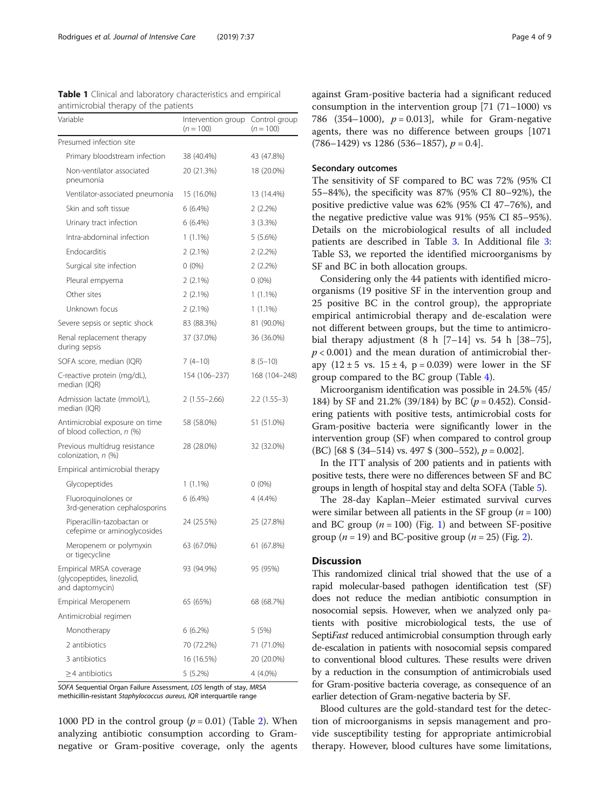<span id="page-3-0"></span>

| <b>Table 1</b> Clinical and laboratory characteristics and empirical |  |
|----------------------------------------------------------------------|--|
| antimicrobial therapy of the patients                                |  |

| Variable<br>Intervention group<br>$(n = 100)$                            |                  | Control group<br>$(n = 100)$ |  |
|--------------------------------------------------------------------------|------------------|------------------------------|--|
| Presumed infection site                                                  |                  |                              |  |
| Primary bloodstream infection                                            | 38 (40.4%)       | 43 (47.8%)                   |  |
| Non-ventilator associated<br>pneumonia                                   | 20 (21.3%)       | 18 (20.0%)                   |  |
| Ventilator-associated pneumonia                                          | 15 (16.0%)       | 13 (14.4%)                   |  |
| Skin and soft tissue                                                     | 6(6.4%)          | $2(2.2\%)$                   |  |
| Urinary tract infection                                                  | $6(6.4\%)$       | 3(3.3%)                      |  |
| Intra-abdominal infection                                                | $1(1.1\%)$       | 5(5.6%)                      |  |
| <b>Endocarditis</b>                                                      | $2(2.1\%)$       | $2(2.2\%)$                   |  |
| Surgical site infection                                                  | $0(0\%)$         | $2(2.2\%)$                   |  |
| Pleural empyema                                                          | $2(2.1\%)$       | $0(0\%)$                     |  |
| Other sites                                                              | $2(2.1\%)$       | $1(1.1\%)$                   |  |
| Unknown focus                                                            | 2 (2.1%)         | $1(1.1\%)$                   |  |
| Severe sepsis or septic shock                                            | 83 (88.3%)       | 81 (90.0%)                   |  |
| Renal replacement therapy<br>during sepsis                               | 37 (37.0%)       | 36 (36.0%)                   |  |
| SOFA score, median (IQR)                                                 | $7(4-10)$        | $8(5-10)$                    |  |
| C-reactive protein (mg/dL),<br>median (IQR)                              | 154 (106-237)    | 168 (104-248)                |  |
| Admission lactate (mmol/L),<br>median (IQR)                              | $2(1.55 - 2.66)$ | $2.2(1.55-3)$                |  |
| Antimicrobial exposure on time<br>of blood collection, n (%)             | 58 (58.0%)       | 51 (51.0%)                   |  |
| Previous multidrug resistance<br>colonization, n (%)                     | 28 (28.0%)       | 32 (32.0%)                   |  |
| Empirical antimicrobial therapy                                          |                  |                              |  |
| Glycopeptides                                                            | 1 (1.1%)         | $0(0\%)$                     |  |
| Fluoroquinolones or<br>3rd-generation cephalosporins                     | 6 (6.4%)         | 4 (4.4%)                     |  |
| Piperacillin-tazobactan or<br>cefepime or aminoglycosides                | 24 (25.5%)       | 25 (27.8%)                   |  |
| Meropenem or polymyxin<br>or tigecycline                                 | 63 (67.0%)       | 61 (67.8%)                   |  |
| Empirical MRSA coverage<br>(glycopeptides, linezolid,<br>and daptomycin) | 93 (94.9%)       | 95 (95%)                     |  |
| Empirical Meropenem                                                      | 65 (65%)         | 68 (68.7%)                   |  |
| Antimicrobial regimen                                                    |                  |                              |  |
| Monotherapy                                                              | $6(6.2\%)$       | 5(5%)                        |  |
| 2 antibiotics                                                            | 70 (72.2%)       | 71 (71.0%)                   |  |
| 3 antibiotics                                                            | 16 (16.5%)       | 20 (20.0%)                   |  |
| $\geq$ 4 antibiotics                                                     | 5 (5.2%)         | 4 (4.0%)                     |  |

SOFA Sequential Organ Failure Assessment, LOS length of stay, MRSA methicillin-resistant Staphylococcus aureus, IQR interquartile range

1000 PD in the control group  $(p = 0.01)$  (Table [2\)](#page-4-0). When analyzing antibiotic consumption according to Gramnegative or Gram-positive coverage, only the agents against Gram-positive bacteria had a significant reduced consumption in the intervention group  $[71 (71–1000)$  vs 786 (354–1000),  $p = 0.013$ ], while for Gram-negative agents, there was no difference between groups [1071  $(786–1429)$  vs 1286 (536–1857),  $p = 0.4$ .

## Secondary outcomes

The sensitivity of SF compared to BC was 72% (95% CI 55–84%), the specificity was 87% (95% CI 80–92%), the positive predictive value was 62% (95% CI 47–76%), and the negative predictive value was 91% (95% CI 85–95%). Details on the microbiological results of all included patients are described in Table [3](#page-4-0). In Additional file [3](#page-7-0): Table S3, we reported the identified microorganisms by SF and BC in both allocation groups.

Considering only the 44 patients with identified microorganisms (19 positive SF in the intervention group and 25 positive BC in the control group), the appropriate empirical antimicrobial therapy and de-escalation were not different between groups, but the time to antimicrobial therapy adjustment  $(8 \ h [7-14] \ vs. 54 \ h [38-75],$  $p < 0.001$ ) and the mean duration of antimicrobial therapy  $(12 \pm 5 \text{ vs. } 15 \pm 4, \text{ p} = 0.039)$  were lower in the SF group compared to the BC group (Table [4](#page-5-0)).

Microorganism identification was possible in 24.5% (45/ 184) by SF and 21.2% (39/184) by BC ( $p = 0.452$ ). Considering patients with positive tests, antimicrobial costs for Gram-positive bacteria were significantly lower in the intervention group (SF) when compared to control group (BC) [68  $\frac{1}{2}$  (34–514) vs. 497  $\frac{1}{2}$  (300–552),  $p = 0.002$ ].

In the ITT analysis of 200 patients and in patients with positive tests, there were no differences between SF and BC groups in length of hospital stay and delta SOFA (Table [5\)](#page-5-0).

The 28-day Kaplan–Meier estimated survival curves were similar between all patients in the SF group ( $n = 100$ ) and BC group  $(n = 100)$  $(n = 100)$  $(n = 100)$  (Fig. 1) and between SF-positive group ( $n = 19$ ) and BC-positive group ( $n = 25$ ) (Fig. [2\)](#page-6-0).

## **Discussion**

This randomized clinical trial showed that the use of a rapid molecular-based pathogen identification test (SF) does not reduce the median antibiotic consumption in nosocomial sepsis. However, when we analyzed only patients with positive microbiological tests, the use of SeptiFast reduced antimicrobial consumption through early de-escalation in patients with nosocomial sepsis compared to conventional blood cultures. These results were driven by a reduction in the consumption of antimicrobials used for Gram-positive bacteria coverage, as consequence of an earlier detection of Gram-negative bacteria by SF.

Blood cultures are the gold-standard test for the detection of microorganisms in sepsis management and provide susceptibility testing for appropriate antimicrobial therapy. However, blood cultures have some limitations,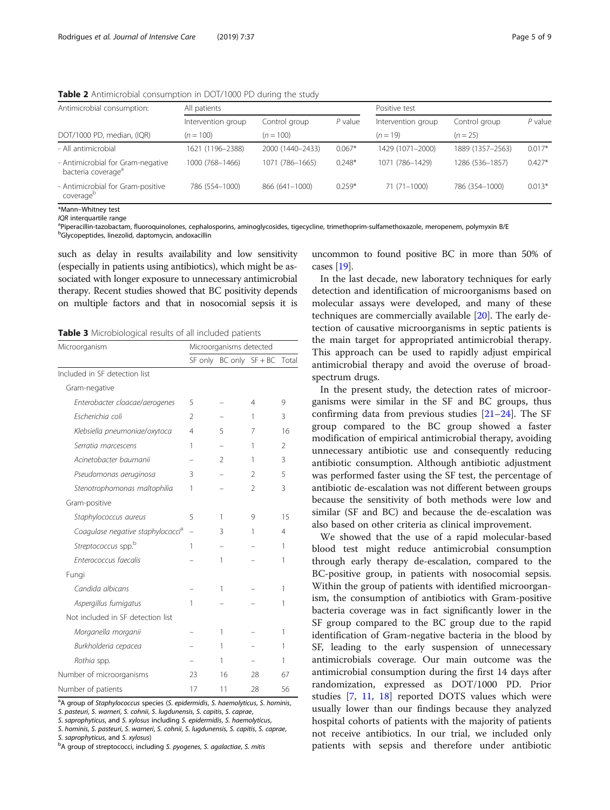Antimicrobial consumption: All patients Positive test Intervention group Control group  $P$  value Intervention group Control group  $P$  value DOT/1000 PD, median, (IQR)  $(n = 100)$   $(n = 100)$   $(n = 19)$   $(n = 25)$ - All antimicrobial 1621 (1196–2388) 2000 (1440–2433) 0.067\* 1429 (1071–2000) 1889 (1357–2563) 0.017\* - Antimicrobial for Gram-negative bacteria coverage<sup>a</sup> 1000 (768–1466) 1071 (786–1665) 0.248\* 1071 (786–1429) 1286 (536–1857) 0.427\* - Antimicrobial for Gram-positive coverage<sup>b</sup> 786 (554–1000) 866 (641–1000) 0.259\* 71 (71–1000) 786 (354–1000) 0.013\*

<span id="page-4-0"></span>Table 2 Antimicrobial consumption in DOT/1000 PD during the study

\*Mann–Whitney test

 $IQR$  interquartile range

Piperacillin-tazobactam, fluoroquinolones, cephalosporins, aminoglycosides, tigecycline, trimethoprim-sulfamethoxazole, meropenem, polymyxin B/E

<sup>b</sup>Glycopeptides, linezolid, daptomycin, andoxacillin

such as delay in results availability and low sensitivity (especially in patients using antibiotics), which might be associated with longer exposure to unnecessary antimicrobial therapy. Recent studies showed that BC positivity depends on multiple factors and that in nosocomial sepsis it is

Table 3 Microbiological results of all included patients

| Microorganism                                 | Microorganisms detected  |                             |                |       |
|-----------------------------------------------|--------------------------|-----------------------------|----------------|-------|
|                                               |                          | SF only $BC$ only $SF + BC$ |                | Total |
| Included in SF detection list                 |                          |                             |                |       |
| Gram-negative                                 |                          |                             |                |       |
| Enterobacter cloacae/aerogenes                | 5                        |                             | 4              | 9     |
| Escherichia coli                              | $\mathfrak{D}$           |                             | 1              | 3     |
| Klebsiella pneumoniae/oxytoca                 | 4                        | 5                           | 7              | 16    |
| Serratia marcescens                           | 1                        |                             | 1              | 2     |
| Acinetobacter baumanii                        |                          | $\mathcal{P}$               | 1              | 3     |
| Pseudomonas aeruginosa                        | 3                        |                             | $\mathcal{L}$  | 5     |
| Stenotrophomonas maltophilia                  | 1                        |                             | $\mathfrak{D}$ | 3     |
| Gram-positive                                 |                          |                             |                |       |
| Staphylococcus aureus                         | 5                        | 1                           | 9              | 15    |
| Coagulase negative staphylococci <sup>a</sup> | $\overline{\phantom{0}}$ | 3                           | 1              | 4     |
| Streptococcus spp.b                           | 1                        |                             |                | 1     |
| Enterococcus faecalis                         |                          | 1                           |                | 1     |
| Fungi                                         |                          |                             |                |       |
| Candida albicans                              |                          | 1                           |                | 1     |
| Aspergillus fumigatus                         | 1                        |                             |                | 1     |
| Not included in SF detection list             |                          |                             |                |       |
| Morganella morganii                           |                          | 1                           |                | 1     |
| Burkholderia cepacea                          |                          | 1                           |                | 1     |
| Rothia spp.                                   |                          | 1                           |                | 1     |
| Number of microorganisms                      | 23                       | 16                          | 28             | 67    |
| Number of patients                            | 17                       | 11                          | 28             | 56    |

<sup>a</sup>A group of Staphylococcus species (S. epidermidis, S. haemolyticus, S. hominis, S. pasteuri, S. warneri, S. cohnii, S. lugdunensis, S. capitis, S. caprae,

S. saprophyticus, and S. xylosus including S. epidermidis, S. haemolyticus,

S. hominis, S. pasteuri, S. warneri, S. cohnii, S. lugdunensis, S. capitis, S. caprae,

S. saprophyticus, and S. xylosus)

<sup>b</sup>A group of streptococci, including S. pyogenes, S. agalactiae, S. mitis

uncommon to found positive BC in more than 50% of cases [[19](#page-8-0)].

In the last decade, new laboratory techniques for early detection and identification of microorganisms based on molecular assays were developed, and many of these techniques are commercially available [[20\]](#page-8-0). The early detection of causative microorganisms in septic patients is the main target for appropriated antimicrobial therapy. This approach can be used to rapidly adjust empirical antimicrobial therapy and avoid the overuse of broadspectrum drugs.

In the present study, the detection rates of microorganisms were similar in the SF and BC groups, thus confirming data from previous studies [\[21](#page-8-0)–[24\]](#page-8-0). The SF group compared to the BC group showed a faster modification of empirical antimicrobial therapy, avoiding unnecessary antibiotic use and consequently reducing antibiotic consumption. Although antibiotic adjustment was performed faster using the SF test, the percentage of antibiotic de-escalation was not different between groups because the sensitivity of both methods were low and similar (SF and BC) and because the de-escalation was also based on other criteria as clinical improvement.

We showed that the use of a rapid molecular-based blood test might reduce antimicrobial consumption through early therapy de-escalation, compared to the BC-positive group, in patients with nosocomial sepsis. Within the group of patients with identified microorganism, the consumption of antibiotics with Gram-positive bacteria coverage was in fact significantly lower in the SF group compared to the BC group due to the rapid identification of Gram-negative bacteria in the blood by SF, leading to the early suspension of unnecessary antimicrobials coverage. Our main outcome was the antimicrobial consumption during the first 14 days after randomization, expressed as DOT/1000 PD. Prior studies [\[7](#page-7-0), [11](#page-7-0), [18](#page-8-0)] reported DOTS values which were usually lower than our findings because they analyzed hospital cohorts of patients with the majority of patients not receive antibiotics. In our trial, we included only patients with sepsis and therefore under antibiotic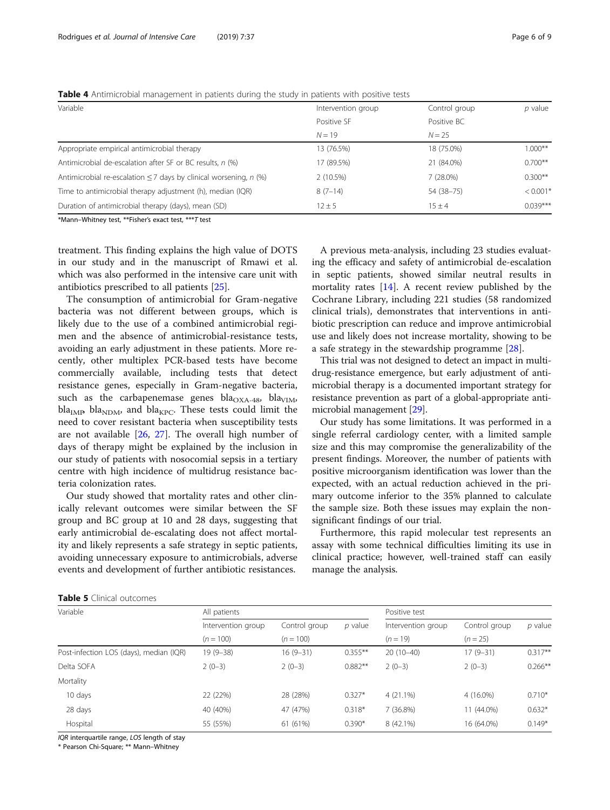## <span id="page-5-0"></span>Table 4 Antimicrobial management in patients during the study in patients with positive tests

| Variable                                                               | Intervention group | Control group | $p$ value  |
|------------------------------------------------------------------------|--------------------|---------------|------------|
|                                                                        | Positive SF        | Positive BC   |            |
|                                                                        | $N = 19$           | $N = 25$      |            |
| Appropriate empirical antimicrobial therapy                            | 13 (76.5%)         | 18 (75.0%)    | $1.000**$  |
| Antimicrobial de-escalation after SF or BC results, n (%)              | 17 (89.5%)         | 21 (84.0%)    | $0.700**$  |
| Antimicrobial re-escalation $\leq$ 7 days by clinical worsening, n (%) | 2(10.5%)           | 7(28.0%)      | $0.300**$  |
| Time to antimicrobial therapy adjustment (h), median (IQR)             | $8(7-14)$          | 54 (38-75)    | $< 0.001*$ |
| Duration of antimicrobial therapy (days), mean (SD)                    | $12 \pm 5$         | $15 + 4$      | $0.039***$ |

\*Mann–Whitney test, \*\*Fisher's exact test, \*\*\*T test

treatment. This finding explains the high value of DOTS in our study and in the manuscript of Rmawi et al. which was also performed in the intensive care unit with antibiotics prescribed to all patients [\[25](#page-8-0)].

The consumption of antimicrobial for Gram-negative bacteria was not different between groups, which is likely due to the use of a combined antimicrobial regimen and the absence of antimicrobial-resistance tests, avoiding an early adjustment in these patients. More recently, other multiplex PCR-based tests have become commercially available, including tests that detect resistance genes, especially in Gram-negative bacteria, such as the carbapenemase genes bla<sub>OXA-48</sub>, bla<sub>VIM</sub>,  $bla<sub>IMB</sub> bla<sub>NDM</sub>$ , and bla<sub>KPC</sub>. These tests could limit the need to cover resistant bacteria when susceptibility tests are not available  $[26, 27]$  $[26, 27]$  $[26, 27]$  $[26, 27]$ . The overall high number of days of therapy might be explained by the inclusion in our study of patients with nosocomial sepsis in a tertiary centre with high incidence of multidrug resistance bacteria colonization rates.

Our study showed that mortality rates and other clinically relevant outcomes were similar between the SF group and BC group at 10 and 28 days, suggesting that early antimicrobial de-escalating does not affect mortality and likely represents a safe strategy in septic patients, avoiding unnecessary exposure to antimicrobials, adverse events and development of further antibiotic resistances.

A previous meta-analysis, including 23 studies evaluating the efficacy and safety of antimicrobial de-escalation in septic patients, showed similar neutral results in mortality rates [\[14\]](#page-8-0). A recent review published by the Cochrane Library, including 221 studies (58 randomized clinical trials), demonstrates that interventions in antibiotic prescription can reduce and improve antimicrobial use and likely does not increase mortality, showing to be a safe strategy in the stewardship programme [[28\]](#page-8-0).

This trial was not designed to detect an impact in multidrug-resistance emergence, but early adjustment of antimicrobial therapy is a documented important strategy for resistance prevention as part of a global-appropriate antimicrobial management [[29](#page-8-0)].

Our study has some limitations. It was performed in a single referral cardiology center, with a limited sample size and this may compromise the generalizability of the present findings. Moreover, the number of patients with positive microorganism identification was lower than the expected, with an actual reduction achieved in the primary outcome inferior to the 35% planned to calculate the sample size. Both these issues may explain the nonsignificant findings of our trial.

Furthermore, this rapid molecular test represents an assay with some technical difficulties limiting its use in clinical practice; however, well-trained staff can easily manage the analysis.

| <b>Table 5</b> Clinical outcomes |  |
|----------------------------------|--|
|----------------------------------|--|

| Variable                                | All patients       |               |            | Positive test      |               |           |
|-----------------------------------------|--------------------|---------------|------------|--------------------|---------------|-----------|
|                                         | Intervention group | Control group | $p$ value  | Intervention group | Control group | $p$ value |
|                                         | $(n = 100)$        | $(n = 100)$   |            | $(n = 19)$         | $(n = 25)$    |           |
| Post-infection LOS (days), median (IQR) | 19 (9-38)          | $16(9-31)$    | $0.355***$ | $20(10-40)$        | $17(9-31)$    | $0.317**$ |
| Delta SOFA                              | $2(0-3)$           | $2(0-3)$      | $0.882**$  | $2(0-3)$           | $2(0-3)$      | $0.266**$ |
| Mortality                               |                    |               |            |                    |               |           |
| 10 days                                 | 22 (22%)           | 28 (28%)      | $0.327*$   | $4(21.1\%)$        | 4 (16.0%)     | $0.710*$  |
| 28 days                                 | 40 (40%)           | 47 (47%)      | $0.318*$   | 7(36.8%)           | 11 (44.0%)    | $0.632*$  |
| Hospital                                | 55 (55%)           | 61 (61%)      | $0.390*$   | 8 (42.1%)          | 16 (64.0%)    | $0.149*$  |

IQR interquartile range, LOS length of stay

\* Pearson Chi-Square; \*\* Mann–Whitney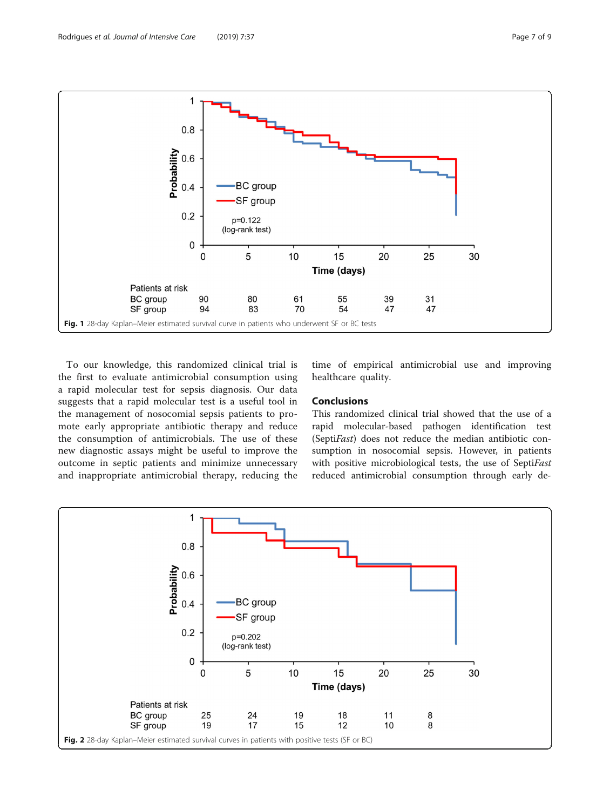<span id="page-6-0"></span>

To our knowledge, this randomized clinical trial is the first to evaluate antimicrobial consumption using a rapid molecular test for sepsis diagnosis. Our data suggests that a rapid molecular test is a useful tool in the management of nosocomial sepsis patients to promote early appropriate antibiotic therapy and reduce the consumption of antimicrobials. The use of these new diagnostic assays might be useful to improve the outcome in septic patients and minimize unnecessary and inappropriate antimicrobial therapy, reducing the time of empirical antimicrobial use and improving healthcare quality.

## Conclusions

This randomized clinical trial showed that the use of a rapid molecular-based pathogen identification test (SeptiFast) does not reduce the median antibiotic consumption in nosocomial sepsis. However, in patients with positive microbiological tests, the use of SeptiFast reduced antimicrobial consumption through early de-

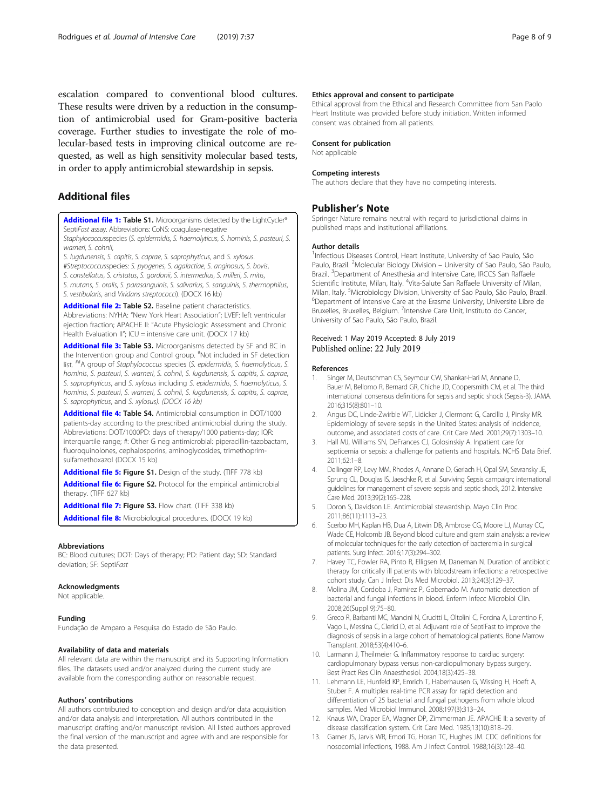<span id="page-7-0"></span>escalation compared to conventional blood cultures. These results were driven by a reduction in the consumption of antimicrobial used for Gram-positive bacteria coverage. Further studies to investigate the role of molecular-based tests in improving clinical outcome are requested, as well as high sensitivity molecular based tests, in order to apply antimicrobial stewardship in sepsis.

## Additional files

[Additional file 1:](https://doi.org/10.1186/s40560-019-0391-3) Table S1. Microorganisms detected by the LightCycler® SeptiFast assay. Abbreviations: CoNS: coagulase-negative

Staphylococcusspecies (S. epidermidis, S. haemolyticus, S. hominis, S. pasteuri, S. warneri, S. cohnii,

S. lugdunensis, S. capitis, S. caprae, S. saprophyticus, and S. xylosus.

#Streptococcusspecies: S. pyogenes, S. agalactiae, S. anginosus, S. bovis,

S. constellatus, S. cristatus, S. gordonii, S. intermedius, S. milleri, S. mitis,

S. mutans, S. oralis, S. parasanguinis, S. salivarius, S. sanguinis, S. thermophilus, S. vestibularis, and Viridans streptococci). (DOCX 16 kb)

#### [Additional file 2:](https://doi.org/10.1186/s40560-019-0391-3) Table S2. Baseline patient characteristics.

Abbreviations: NYHA: "New York Heart Association"; LVEF: left ventricular ejection fraction; APACHE II: "Acute Physiologic Assessment and Chronic Health Evaluation II"; ICU = intensive care unit. (DOCX 17 kb)

[Additional file 3:](https://doi.org/10.1186/s40560-019-0391-3) Table S3. Microorganisms detected by SF and BC in the Intervention group and Control group. # Not included in SF detection list. ##A group of Staphylococcus species (S. epidermidis, S. haemolyticus, S. hominis, S. pasteuri, S. warneri, S. cohnii, S. lugdunensis, S. capitis, S. caprae, S. saprophyticus, and S. xylosus including S. epidermidis, S. haemolyticus, S. hominis, S. pasteuri, S. warneri, S. cohnii, S. lugdunensis, S. capitis, S. caprae, S. saprophyticus, and S. xylosus). (DOCX 16 kb)

[Additional file 4:](https://doi.org/10.1186/s40560-019-0391-3) Table S4. Antimicrobial consumption in DOT/1000 patients-day according to the prescribed antimicrobial during the study. Abbreviations: DOT/1000PD: days of therapy/1000 patients-day; IQR: interquartile range; #: Other G neg antimicrobial: piperacillin-tazobactam, fluoroquinolones, cephalosporins, aminoglycosides, trimethoprimsulfamethoxazol (DOCX 15 kb)

[Additional file 5:](https://doi.org/10.1186/s40560-019-0391-3) Figure S1. Design of the study. (TIFF 778 kb)

[Additional file 6:](https://doi.org/10.1186/s40560-019-0391-3) Figure S2. Protocol for the empirical antimicrobial therapy. (TIFF 627 kb)

[Additional file 7:](https://doi.org/10.1186/s40560-019-0391-3) Figure S3. Flow chart. (TIFF 338 kb)

[Additional file 8:](https://doi.org/10.1186/s40560-019-0391-3) Microbiological procedures. (DOCX 19 kb)

#### Abbreviations

BC: Blood cultures; DOT: Days of therapy; PD: Patient day; SD: Standard deviation; SF: SeptiFast

## Acknowledgments

Not applicable.

## Funding

Fundação de Amparo a Pesquisa do Estado de São Paulo.

## Availability of data and materials

All relevant data are within the manuscript and its Supporting Information files. The datasets used and/or analyzed during the current study are available from the corresponding author on reasonable request.

## Authors' contributions

All authors contributed to conception and design and/or data acquisition and/or data analysis and interpretation. All authors contributed in the manuscript drafting and/or manuscript revision. All listed authors approved the final version of the manuscript and agree with and are responsible for the data presented.

#### Ethics approval and consent to participate

Ethical approval from the Ethical and Research Committee from San Paolo Heart Institute was provided before study initiation. Written informed consent was obtained from all patients.

#### Consent for publication

Not applicable

#### Competing interests

The authors declare that they have no competing interests.

## Publisher's Note

Springer Nature remains neutral with regard to jurisdictional claims in published maps and institutional affiliations.

## Author details

<sup>1</sup>Infectious Diseases Control, Heart Institute, University of Sao Paulo, São Paulo, Brazil. <sup>2</sup>Molecular Biology Division - University of Sao Paulo, São Paulo, Brazil. <sup>3</sup>Department of Anesthesia and Intensive Care, IRCCS San Raffaele Scientific Institute, Milan, Italy. <sup>4</sup>Vita-Salute San Raffaele University of Milan, Milan, Italy. <sup>5</sup> Microbiology Division, University of Sao Paulo, São Paulo, Brazil.<br><sup>6</sup> Department of Intensive Care at the Frasme University Universite Libre de <sup>6</sup>Department of Intensive Care at the Erasme University, Universite Libre de Bruxelles, Bruxelles, Belgium. <sup>7</sup>Intensive Care Unit, Instituto do Cancer, University of Sao Paulo, São Paulo, Brazil.

## Received: 1 May 2019 Accepted: 8 July 2019 Published online: 22 July 2019

#### References

- Singer M, Deutschman CS, Seymour CW, Shankar-Hari M, Annane D, Bauer M, Bellomo R, Bernard GR, Chiche JD, Coopersmith CM, et al. The third international consensus definitions for sepsis and septic shock (Sepsis-3). JAMA. 2016;315(8):801–10.
- 2. Angus DC, Linde-Zwirble WT, Lidicker J, Clermont G, Carcillo J, Pinsky MR. Epidemiology of severe sepsis in the United States: analysis of incidence, outcome, and associated costs of care. Crit Care Med. 2001;29(7):1303–10.
- 3. Hall MJ, Williams SN, DeFrances CJ, Golosinskiy A. Inpatient care for septicemia or sepsis: a challenge for patients and hospitals. NCHS Data Brief. 2011;62:1–8.
- 4. Dellinger RP, Levy MM, Rhodes A, Annane D, Gerlach H, Opal SM, Sevransky JE, Sprung CL, Douglas IS, Jaeschke R, et al. Surviving Sepsis campaign: international guidelines for management of severe sepsis and septic shock, 2012. Intensive Care Med. 2013;39(2):165–228.
- 5. Doron S, Davidson LE. Antimicrobial stewardship. Mayo Clin Proc. 2011;86(11):1113–23.
- 6. Scerbo MH, Kaplan HB, Dua A, Litwin DB, Ambrose CG, Moore LJ, Murray CC, Wade CE, Holcomb JB. Beyond blood culture and gram stain analysis: a review of molecular techniques for the early detection of bacteremia in surgical patients. Surg Infect. 2016;17(3):294–302.
- 7. Havey TC, Fowler RA, Pinto R, Elligsen M, Daneman N. Duration of antibiotic therapy for critically ill patients with bloodstream infections: a retrospective cohort study. Can J Infect Dis Med Microbiol. 2013;24(3):129–37.
- 8. Molina JM, Cordoba J, Ramirez P, Gobernado M. Automatic detection of bacterial and fungal infections in blood. Enferm Infecc Microbiol Clin. 2008;26(Suppl 9):75–80.
- 9. Greco R, Barbanti MC, Mancini N, Crucitti L, Oltolini C, Forcina A, Lorentino F, Vago L, Messina C, Clerici D, et al. Adjuvant role of SeptiFast to improve the diagnosis of sepsis in a large cohort of hematological patients. Bone Marrow Transplant. 2018;53(4):410–6.
- 10. Larmann J, Theilmeier G. Inflammatory response to cardiac surgery: cardiopulmonary bypass versus non-cardiopulmonary bypass surgery. Best Pract Res Clin Anaesthesiol. 2004;18(3):425–38.
- 11. Lehmann LE, Hunfeld KP, Emrich T, Haberhausen G, Wissing H, Hoeft A, Stuber F. A multiplex real-time PCR assay for rapid detection and differentiation of 25 bacterial and fungal pathogens from whole blood samples. Med Microbiol Immunol. 2008;197(3):313–24.
- 12. Knaus WA, Draper EA, Wagner DP, Zimmerman JE. APACHE II: a severity of disease classification system. Crit Care Med. 1985;13(10):818–29.
- 13. Garner JS, Jarvis WR, Emori TG, Horan TC, Hughes JM. CDC definitions for nosocomial infections, 1988. Am J Infect Control. 1988;16(3):128–40.